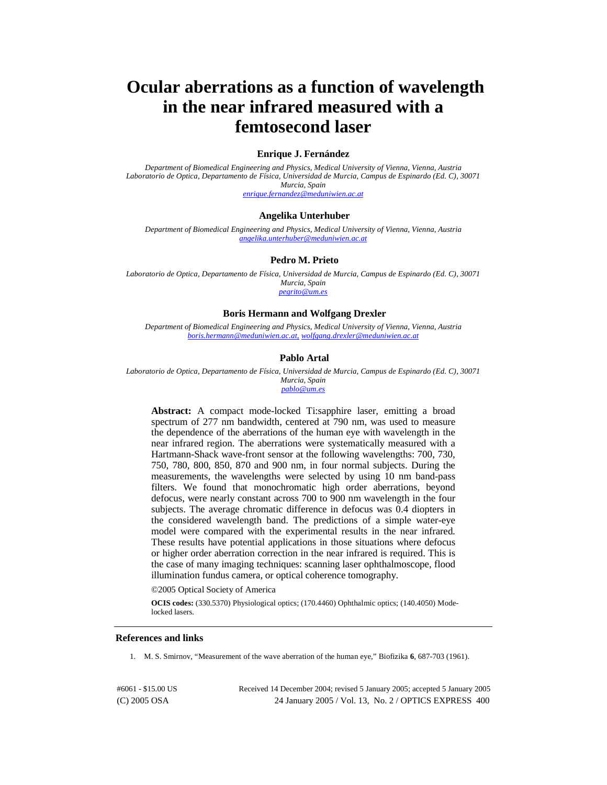# **Ocular aberrations as a function of wavelength in the near infrared measured with a femtosecond laser**

## **Enrique J. Fernández**

*Department of Biomedical Engineering and Physics, Medical University of Vienna, Vienna, Austria Laboratorio de Optica, Departamento de Física, Universidad de Murcia, Campus de Espinardo (Ed. C), 30071 Murcia, Spain [enrique.fernandez@meduniwien.ac.at](mailto:enrique.fernandez@meduniwien.ac.at)*

#### **Angelika Unterhuber**

*Department of Biomedical Engineering and Physics, Medical University of Vienna, Vienna, Austria [angelika.unterhuber@meduniwien.ac.at](mailto:angelika.unterhuber@meduniwien.ac.at)*

## **Pedro M. Prieto**

*Laboratorio de Optica, Departamento de Física, Universidad de Murcia, Campus de Espinardo (Ed. C), 30071 Murcia, Spain [pegrito@um.es](mailto:pegrito@um.es)*

#### **Boris Hermann and Wolfgang Drexler**

*Department of Biomedical Engineering and Physics, Medical University of Vienna, Vienna, Austria [boris.hermann@meduniwien.ac.at,](mailto:boris.hermann@meduniwien.ac.at) [wolfgang.drexler@meduniwien.ac.at](mailto:wolfgang.drexler@meduniwien.ac.at)*

#### **Pablo Artal**

*Laboratorio de Optica, Departamento de Física, Universidad de Murcia, Campus de Espinardo (Ed. C), 30071 Murcia, Spain [pablo@um.es](mailto:pablo@um.es)*

**Abstract:** A compact mode-locked Ti:sapphire laser, emitting a broad spectrum of 277 nm bandwidth, centered at 790 nm, was used to measure the dependence of the aberrations of the human eye with wavelength in the near infrared region. The aberrations were systematically measured with a Hartmann-Shack wave-front sensor at the following wavelengths: 700, 730, 750, 780, 800, 850, 870 and 900 nm, in four normal subjects. During the measurements, the wavelengths were selected by using 10 nm band-pass filters. We found that monochromatic high order aberrations, beyond defocus, were nearly constant across 700 to 900 nm wavelength in the four subjects. The average chromatic difference in defocus was 0.4 diopters in the considered wavelength band. The predictions of a simple water-eye model were compared with the experimental results in the near infrared. These results have potential applications in those situations where defocus or higher order aberration correction in the near infrared is required. This is the case of many imaging techniques: scanning laser ophthalmoscope, flood illumination fundus camera, or optical coherence tomography.

©2005 Optical Society of America

**OCIS codes:** (330.5370) Physiological optics; (170.4460) Ophthalmic optics; (140.4050) Modelocked lasers.

#### **References and links**

1. M. S. Smirnov, "Measurement of the wave aberration of the human eye," Biofizika **6**, 687-703 (1961).

(C) 2005 OSA 24 January 2005 / Vol. 13, No. 2 / OPTICS EXPRESS 400 #6061 - \$15.00 US Received 14 December 2004; revised 5 January 2005; accepted 5 January 2005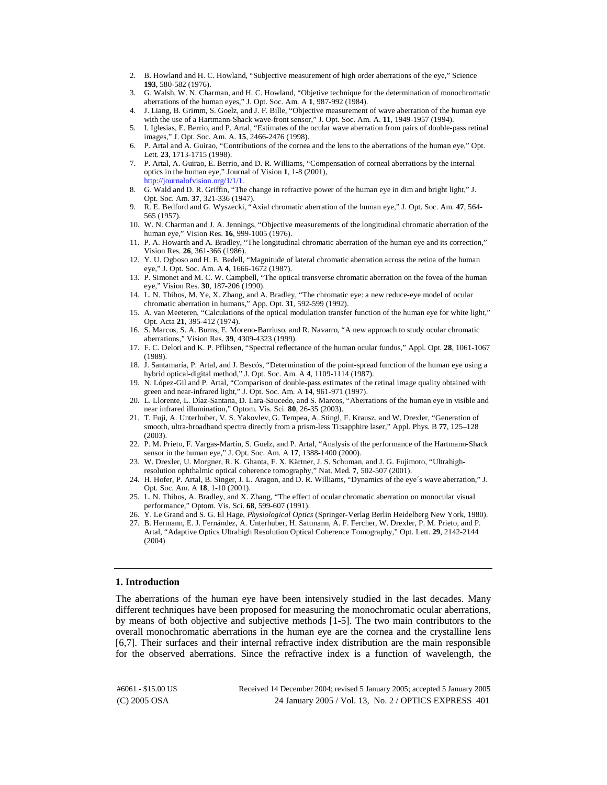- 2. B. Howland and H. C. Howland, "Subjective measurement of high order aberrations of the eye," Science **193**, 580-582 (1976).
- 3. G. Walsh, W. N. Charman, and H. C. Howland, "Objetive technique for the determination of monochromatic aberrations of the human eyes," J. Opt. Soc. Am. A **1**, 987-992 (1984).
- 4. J. Liang, B. Grimm, S. Goelz, and J. F. Bille, "Objective measurement of wave aberration of the human eye with the use of a Hartmann-Shack wave-front sensor," J. Opt. Soc. Am. A. **11**, 1949-1957 (1994).
- 5. I. Iglesias, E. Berrio, and P. Artal, "Estimates of the ocular wave aberration from pairs of double-pass retinal images," J. Opt. Soc. Am. A. **15**, 2466-2476 (1998).
- 6. P. Artal and A. Guirao, "Contributions of the cornea and the lens to the aberrations of the human eye," Opt. Lett. **23**, 1713-1715 (1998).
- 7. P. Artal, A. Guirao, E. Berrio, and D. R. Williams, "Compensation of corneal aberrations by the internal optics in the human eye," Journal of Vision **1**, 1-8 (2001), <http://journalofvision.org/1/1/1>*.*
- 8. G. Wald and D. R. Griffin, "The change in refractive power of the human eye in dim and bright light," J. Opt. Soc. Am. **37**, 321-336 (1947).
- 9. R. E. Bedford and G. Wyszecki, "Axial chromatic aberration of the human eye," J. Opt. Soc. Am. **47**, 564- 565 (1957).
- 10. W. N. Charman and J. A. Jennings, "Objective measurements of the longitudinal chromatic aberration of the human eye," Vision Res. **16**, 999-1005 (1976).
- 11. P. A. Howarth and A. Bradley, "The longitudinal chromatic aberration of the human eye and its correction," Vision Res. **26**, 361-366 (1986).
- 12. Y. U. Ogboso and H. E. Bedell, "Magnitude of lateral chromatic aberration across the retina of the human eye," J. Opt. Soc. Am. A **4**, 1666-1672 (1987).
- 13. P. Simonet and M. C. W. Campbell, "The optical transverse chromatic aberration on the fovea of the human eye," Vision Res. **30**, 187-206 (1990).
- 14. L. N. Thibos, M. Ye, X. Zhang, and A. Bradley, "The chromatic eye: a new reduce-eye model of ocular chromatic aberration in humans," App. Opt. **31**, 592-599 (1992).
- 15. A. van Meeteren, "Calculations of the optical modulation transfer function of the human eye for white light," Opt. Acta **21**, 395-412 (1974).
- 16. S. Marcos, S. A. Burns, E. Moreno-Barriuso, and R. Navarro, "A new approach to study ocular chromatic aberrations," Vision Res. **39**, 4309-4323 (1999).
- 17. F. C. Delori and K. P. Pflibsen, "Spectral reflectance of the human ocular fundus," Appl. Opt. **28**, 1061-1067 (1989).
- 18. J. Santamaría, P. Artal, and J. Bescós, "Determination of the point-spread function of the human eye using a hybrid optical-digital method," J. Opt. Soc. Am. A **4**, 1109-1114 (1987).
- 19. N. López-Gil and P. Artal, "Comparison of double-pass estimates of the retinal image quality obtained with green and near-infrared light," J. Opt. Soc. Am. A **14**, 961-971 (1997).
- 20. L. Llorente, L. Díaz-Santana, D. Lara-Saucedo, and S. Marcos, "Aberrations of the human eye in visible and near infrared illumination," Optom. Vis. Sci. **80**, 26-35 (2003).
- 21. T. Fuji, A. Unterhuber, V. S. Yakovlev, G. Tempea, A. Stingl, F. Krausz, and W. Drexler, "Generation of smooth, ultra-broadband spectra directly from a prism-less Ti:sapphire laser," Appl. Phys. B **77**, 125–128 (2003).
- 22. P. M. Prieto, F. Vargas-Martín, S. Goelz, and P. Artal, "Analysis of the performance of the Hartmann-Shack sensor in the human eye," J. Opt. Soc. Am. A **17**, 1388-1400 (2000).
- 23. W. Drexler, U. Morgner, R. K. Ghanta, F. X. Kärtner, J. S. Schuman, and J. G. Fujimoto, "Ultrahighresolution ophthalmic optical coherence tomography," Nat. Med. **7**, 502-507 (2001).
- 24. H. Hofer, P. Artal, B. Singer, J. L. Aragon, and D. R. Williams, "Dynamics of the eye´s wave aberration," J. Opt. Soc. Am. A **18**, 1-10 (2001).
- 25. L. N. Thibos, A. Bradley, and X. Zhang, "The effect of ocular chromatic aberration on monocular visual performance," Optom. Vis. Sci. **68**, 599-607 (1991).
- 26. Y. Le Grand and S. G. El Hage, *Physiological Optics* (Springer-Verlag Berlin Heidelberg New York, 1980).
- 27. B. Hermann, E. J. Fernández, A. Unterhuber, H. Sattmann, A. F. Fercher, W. Drexler, P. M. Prieto, and P. Artal, "Adaptive Optics Ultrahigh Resolution Optical Coherence Tomography," Opt. Lett. **29**, 2142-2144 (2004)

## **1. Introduction**

The aberrations of the human eye have been intensively studied in the last decades. Many different techniques have been proposed for measuring the monochromatic ocular aberrations, by means of both objective and subjective methods [1-5]. The two main contributors to the overall monochromatic aberrations in the human eye are the cornea and the crystalline lens [6,7]. Their surfaces and their internal refractive index distribution are the main responsible for the observed aberrations. Since the refractive index is a function of wavelength, the

(C) 2005 OSA 24 January 2005 / Vol. 13, No. 2 / OPTICS EXPRESS 401 #6061 - \$15.00 US Received 14 December 2004; revised 5 January 2005; accepted 5 January 2005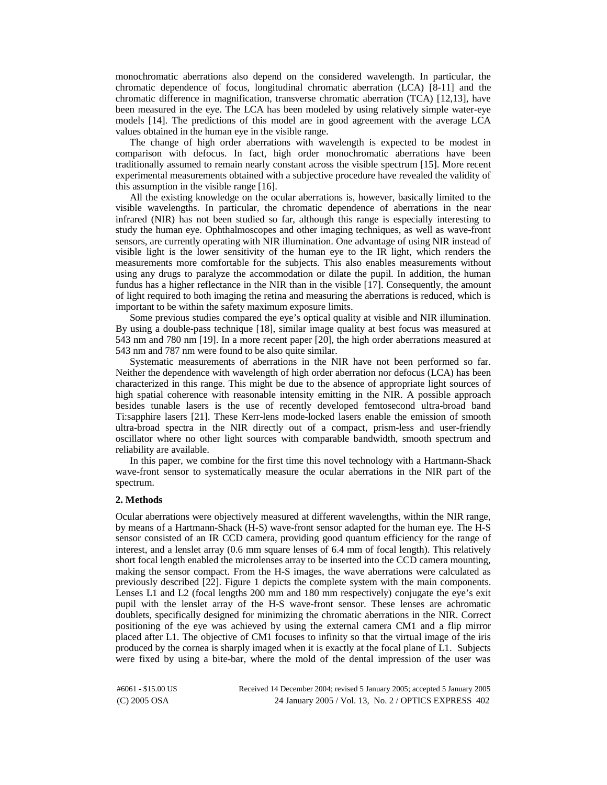monochromatic aberrations also depend on the considered wavelength. In particular, the chromatic dependence of focus, longitudinal chromatic aberration (LCA) [8-11] and the chromatic difference in magnification, transverse chromatic aberration (TCA) [12,13], have been measured in the eye. The LCA has been modeled by using relatively simple water-eye models [14]. The predictions of this model are in good agreement with the average LCA values obtained in the human eye in the visible range.

The change of high order aberrations with wavelength is expected to be modest in comparison with defocus. In fact, high order monochromatic aberrations have been traditionally assumed to remain nearly constant across the visible spectrum [15]. More recent experimental measurements obtained with a subjective procedure have revealed the validity of this assumption in the visible range [16].

All the existing knowledge on the ocular aberrations is, however, basically limited to the visible wavelengths. In particular, the chromatic dependence of aberrations in the near infrared (NIR) has not been studied so far, although this range is especially interesting to study the human eye. Ophthalmoscopes and other imaging techniques, as well as wave-front sensors, are currently operating with NIR illumination. One advantage of using NIR instead of visible light is the lower sensitivity of the human eye to the IR light, which renders the measurements more comfortable for the subjects. This also enables measurements without using any drugs to paralyze the accommodation or dilate the pupil. In addition, the human fundus has a higher reflectance in the NIR than in the visible [17]. Consequently, the amount of light required to both imaging the retina and measuring the aberrations is reduced, which is important to be within the safety maximum exposure limits.

Some previous studies compared the eye's optical quality at visible and NIR illumination. By using a double-pass technique [18], similar image quality at best focus was measured at 543 nm and 780 nm [19]. In a more recent paper [20], the high order aberrations measured at 543 nm and 787 nm were found to be also quite similar.

Systematic measurements of aberrations in the NIR have not been performed so far. Neither the dependence with wavelength of high order aberration nor defocus (LCA) has been characterized in this range. This might be due to the absence of appropriate light sources of high spatial coherence with reasonable intensity emitting in the NIR. A possible approach besides tunable lasers is the use of recently developed femtosecond ultra-broad band Ti:sapphire lasers [21]. These Kerr-lens mode-locked lasers enable the emission of smooth ultra-broad spectra in the NIR directly out of a compact, prism-less and user-friendly oscillator where no other light sources with comparable bandwidth, smooth spectrum and reliability are available.

In this paper, we combine for the first time this novel technology with a Hartmann-Shack wave-front sensor to systematically measure the ocular aberrations in the NIR part of the spectrum.

#### **2. Methods**

Ocular aberrations were objectively measured at different wavelengths, within the NIR range, by means of a Hartmann-Shack (H-S) wave-front sensor adapted for the human eye. The H-S sensor consisted of an IR CCD camera, providing good quantum efficiency for the range of interest, and a lenslet array (0.6 mm square lenses of 6.4 mm of focal length). This relatively short focal length enabled the microlenses array to be inserted into the CCD camera mounting, making the sensor compact. From the H-S images, the wave aberrations were calculated as previously described [22]. Figure 1 depicts the complete system with the main components. Lenses L1 and L2 (focal lengths 200 mm and 180 mm respectively) conjugate the eye's exit pupil with the lenslet array of the H-S wave-front sensor. These lenses are achromatic doublets, specifically designed for minimizing the chromatic aberrations in the NIR. Correct positioning of the eye was achieved by using the external camera CM1 and a flip mirror placed after L1. The objective of CM1 focuses to infinity so that the virtual image of the iris produced by the cornea is sharply imaged when it is exactly at the focal plane of L1. Subjects were fixed by using a bite-bar, where the mold of the dental impression of the user was

(C) 2005 OSA 24 January 2005 / Vol. 13, No. 2 / OPTICS EXPRESS 402 #6061 - \$15.00 US Received 14 December 2004; revised 5 January 2005; accepted 5 January 2005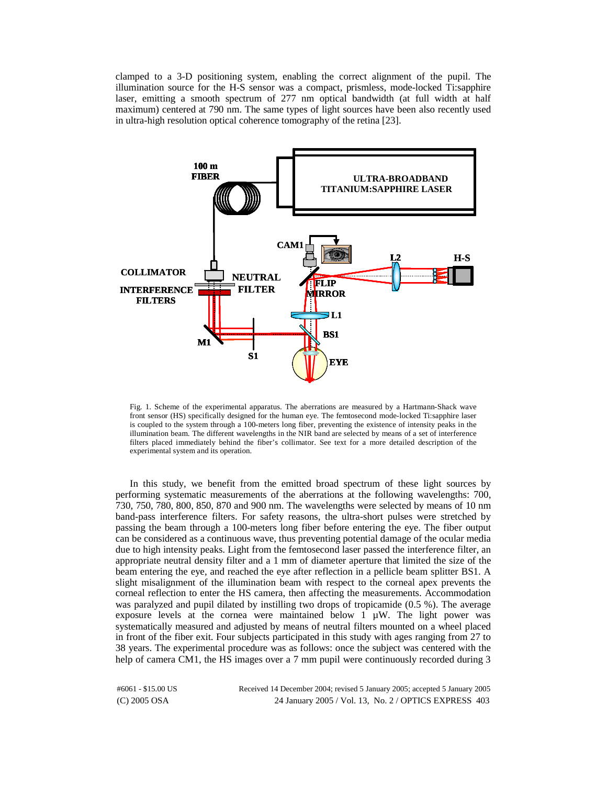clamped to a 3-D positioning system, enabling the correct alignment of the pupil. The illumination source for the H-S sensor was a compact, prismless, mode-locked Ti:sapphire laser, emitting a smooth spectrum of 277 nm optical bandwidth (at full width at half maximum) centered at 790 nm. The same types of light sources have been also recently used in ultra-high resolution optical coherence tomography of the retina [23].



Fig. 1. Scheme of the experimental apparatus. The aberrations are measured by a Hartmann-Shack wave front sensor (HS) specifically designed for the human eye. The femtosecond mode-locked Ti:sapphire laser is coupled to the system through a 100-meters long fiber, preventing the existence of intensity peaks in the illumination beam. The different wavelengths in the NIR band are selected by means of a set of interference filters placed immediately behind the fiber's collimator. See text for a more detailed description of the experimental system and its operation.

In this study, we benefit from the emitted broad spectrum of these light sources by performing systematic measurements of the aberrations at the following wavelengths: 700, 730, 750, 780, 800, 850, 870 and 900 nm. The wavelengths were selected by means of 10 nm band-pass interference filters. For safety reasons, the ultra-short pulses were stretched by passing the beam through a 100-meters long fiber before entering the eye. The fiber output can be considered as a continuous wave, thus preventing potential damage of the ocular media due to high intensity peaks. Light from the femtosecond laser passed the interference filter, an appropriate neutral density filter and a 1 mm of diameter aperture that limited the size of the beam entering the eye, and reached the eye after reflection in a pellicle beam splitter BS1. A slight misalignment of the illumination beam with respect to the corneal apex prevents the corneal reflection to enter the HS camera, then affecting the measurements. Accommodation was paralyzed and pupil dilated by instilling two drops of tropicamide (0.5 %). The average exposure levels at the cornea were maintained below 1  $\mu$ W. The light power was systematically measured and adjusted by means of neutral filters mounted on a wheel placed in front of the fiber exit. Four subjects participated in this study with ages ranging from 27 to 38 years. The experimental procedure was as follows: once the subject was centered with the help of camera CM1, the HS images over a 7 mm pupil were continuously recorded during 3

(C) 2005 OSA 24 January 2005 / Vol. 13, No. 2 / OPTICS EXPRESS 403 #6061 - \$15.00 US Received 14 December 2004; revised 5 January 2005; accepted 5 January 2005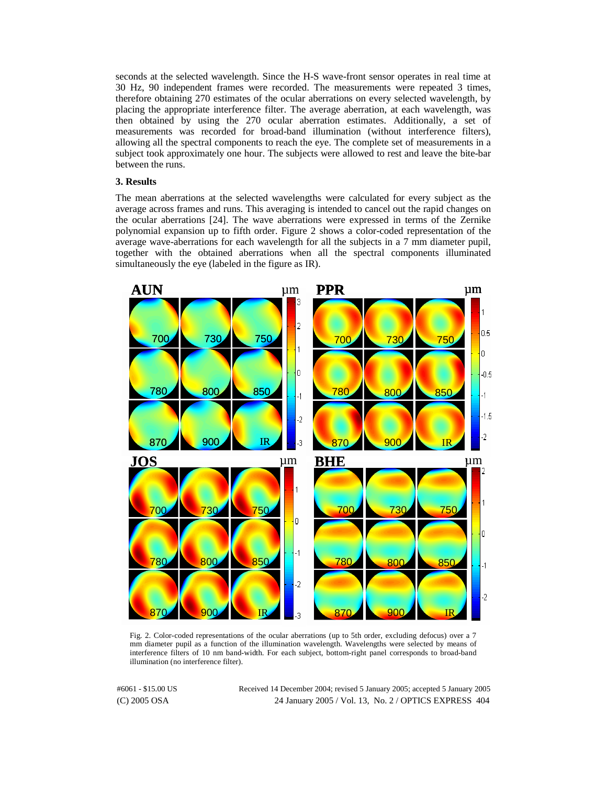seconds at the selected wavelength. Since the H-S wave-front sensor operates in real time at 30 Hz, 90 independent frames were recorded. The measurements were repeated 3 times, therefore obtaining 270 estimates of the ocular aberrations on every selected wavelength, by placing the appropriate interference filter. The average aberration, at each wavelength, was then obtained by using the 270 ocular aberration estimates. Additionally, a set of measurements was recorded for broad-band illumination (without interference filters), allowing all the spectral components to reach the eye. The complete set of measurements in a subject took approximately one hour. The subjects were allowed to rest and leave the bite-bar between the runs.

# **3. Results**

The mean aberrations at the selected wavelengths were calculated for every subject as the average across frames and runs. This averaging is intended to cancel out the rapid changes on the ocular aberrations [24]. The wave aberrations were expressed in terms of the Zernike polynomial expansion up to fifth order. Figure 2 shows a color-coded representation of the average wave-aberrations for each wavelength for all the subjects in a 7 mm diameter pupil, together with the obtained aberrations when all the spectral components illuminated simultaneously the eye (labeled in the figure as IR).



Fig. 2. Color-coded representations of the ocular aberrations (up to 5th order, excluding defocus) over a 7 mm diameter pupil as a function of the illumination wavelength. Wavelengths were selected by means of interference filters of 10 nm band-width. For each subject, bottom-right panel corresponds to broad-band illumination (no interference filter).

(C) 2005 OSA 24 January 2005 / Vol. 13, No. 2 / OPTICS EXPRESS 404 #6061 - \$15.00 US Received 14 December 2004; revised 5 January 2005; accepted 5 January 2005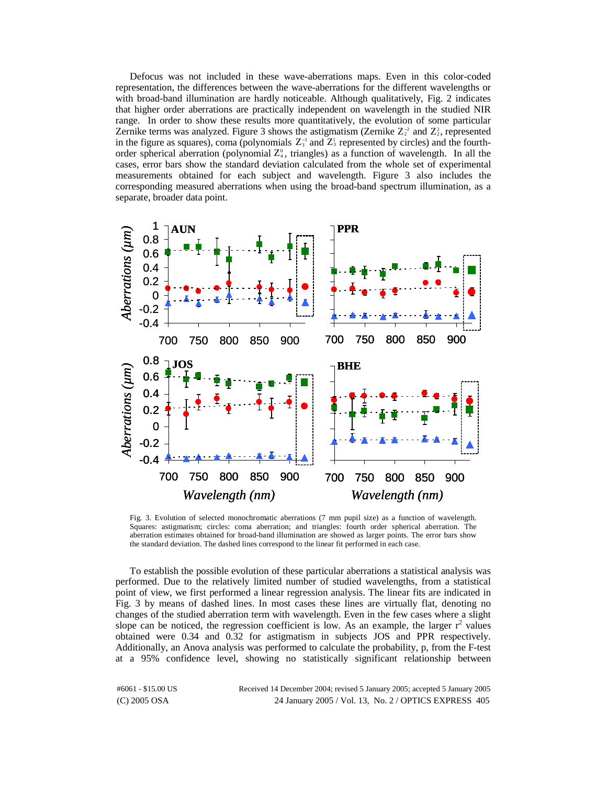Defocus was not included in these wave-aberrations maps. Even in this color-coded representation, the differences between the wave-aberrations for the different wavelengths or with broad-band illumination are hardly noticeable. Although qualitatively, Fig. 2 indicates that higher order aberrations are practically independent on wavelength in the studied NIR range. In order to show these results more quantitatively, the evolution of some particular Zernike terms was analyzed. Figure 3 shows the astigmatism (Zernike  $Z_2^2$  and  $Z_2^2$ , represented in the figure as squares), coma (polynomials  $Z_3^{-1}$  and  $Z_3^{1}$  represented by circles) and the fourthorder spherical aberration (polynomial  $Z_4^0$ , triangles) as a function of wavelength. In all the cases, error bars show the standard deviation calculated from the whole set of experimental measurements obtained for each subject and wavelength. Figure 3 also includes the corresponding measured aberrations when using the broad-band spectrum illumination, as a separate, broader data point.



Fig. 3. Evolution of selected monochromatic aberrations (7 mm pupil size) as a function of wavelength. Squares: astigmatism; circles: coma aberration; and triangles: fourth order spherical aberration. The aberration estimates obtained for broad-band illumination are showed as larger points. The error bars show the standard deviation. The dashed lines correspond to the linear fit performed in each case.

To establish the possible evolution of these particular aberrations a statistical analysis was performed. Due to the relatively limited number of studied wavelengths, from a statistical point of view, we first performed a linear regression analysis. The linear fits are indicated in Fig. 3 by means of dashed lines. In most cases these lines are virtually flat, denoting no changes of the studied aberration term with wavelength. Even in the few cases where a slight slope can be noticed, the regression coefficient is low. As an example, the larger  $r^2$  values obtained were 0.34 and 0.32 for astigmatism in subjects JOS and PPR respectively. Additionally, an Anova analysis was performed to calculate the probability, p, from the F-test at a 95% confidence level, showing no statistically significant relationship between

(C) 2005 OSA 24 January 2005 / Vol. 13, No. 2 / OPTICS EXPRESS 405 #6061 - \$15.00 US Received 14 December 2004; revised 5 January 2005; accepted 5 January 2005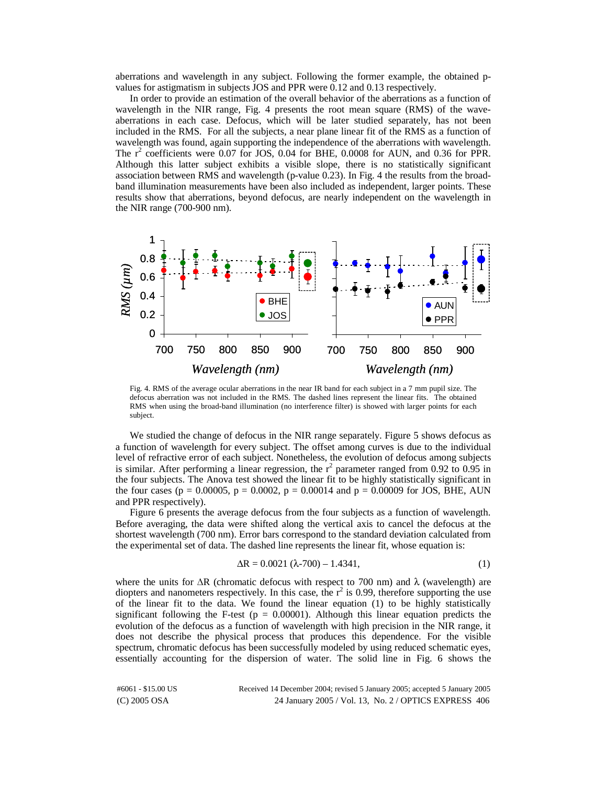aberrations and wavelength in any subject. Following the former example, the obtained pvalues for astigmatism in subjects JOS and PPR were 0.12 and 0.13 respectively.

In order to provide an estimation of the overall behavior of the aberrations as a function of wavelength in the NIR range, Fig. 4 presents the root mean square (RMS) of the waveaberrations in each case. Defocus, which will be later studied separately, has not been included in the RMS. For all the subjects, a near plane linear fit of the RMS as a function of wavelength was found, again supporting the independence of the aberrations with wavelength. The  $r^2$  coefficients were 0.07 for JOS, 0.04 for BHE, 0.0008 for AUN, and 0.36 for PPR. Although this latter subject exhibits a visible slope, there is no statistically significant association between RMS and wavelength (p-value 0.23). In Fig. 4 the results from the broadband illumination measurements have been also included as independent, larger points. These results show that aberrations, beyond defocus, are nearly independent on the wavelength in the NIR range (700-900 nm).



Fig. 4. RMS of the average ocular aberrations in the near IR band for each subject in a 7 mm pupil size. The defocus aberration was not included in the RMS. The dashed lines represent the linear fits. The obtained RMS when using the broad-band illumination (no interference filter) is showed with larger points for each subject.

We studied the change of defocus in the NIR range separately. Figure 5 shows defocus as a function of wavelength for every subject. The offset among curves is due to the individual level of refractive error of each subject. Nonetheless, the evolution of defocus among subjects is similar. After performing a linear regression, the  $r^2$  parameter ranged from 0.92 to 0.95 in the four subjects. The Anova test showed the linear fit to be highly statistically significant in the four cases ( $p = 0.00005$ ,  $p = 0.0002$ ,  $p = 0.00014$  and  $p = 0.00009$  for JOS, BHE, AUN and PPR respectively).

Figure 6 presents the average defocus from the four subjects as a function of wavelength. Before averaging, the data were shifted along the vertical axis to cancel the defocus at the shortest wavelength (700 nm). Error bars correspond to the standard deviation calculated from the experimental set of data. The dashed line represents the linear fit, whose equation is:

$$
\Delta R = 0.0021 \ (\lambda - 700) - 1.4341,\tag{1}
$$

where the units for  $\Delta R$  (chromatic defocus with respect to 700 nm) and  $\lambda$  (wavelength) are diopters and nanometers respectively. In this case, the  $r^2$  is 0.99, therefore supporting the use of the linear fit to the data. We found the linear equation (1) to be highly statistically significant following the F-test ( $p = 0.00001$ ). Although this linear equation predicts the evolution of the defocus as a function of wavelength with high precision in the NIR range, it does not describe the physical process that produces this dependence. For the visible spectrum, chromatic defocus has been successfully modeled by using reduced schematic eyes, essentially accounting for the dispersion of water. The solid line in Fig. 6 shows the

(C) 2005 OSA 24 January 2005 / Vol. 13, No. 2 / OPTICS EXPRESS 406 #6061 - \$15.00 US Received 14 December 2004; revised 5 January 2005; accepted 5 January 2005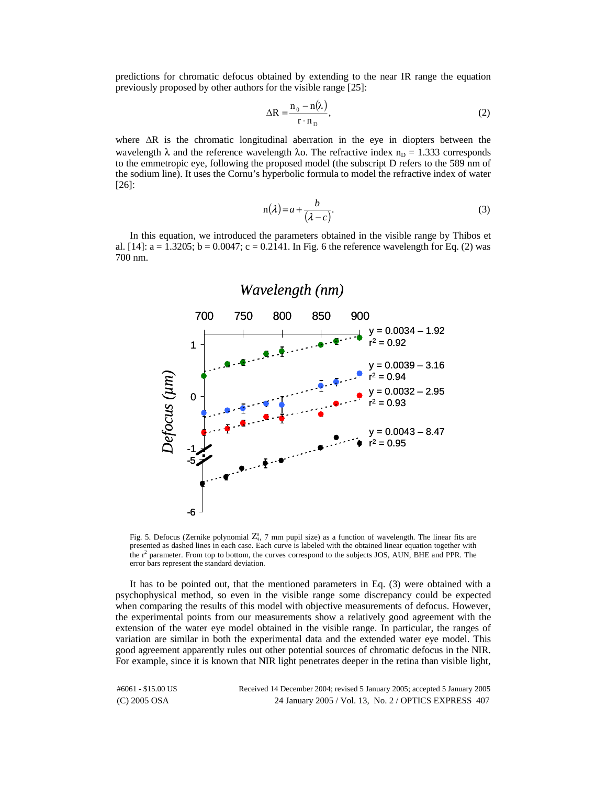predictions for chromatic defocus obtained by extending to the near IR range the equation previously proposed by other authors for the visible range [25]:

$$
\Delta R = \frac{n_0 - n(\lambda)}{r \cdot n_D},
$$
 (2)

where ∆R is the chromatic longitudinal aberration in the eye in diopters between the wavelength  $\lambda$  and the reference wavelength  $\lambda$ o. The refractive index n<sub>D</sub> = 1.333 corresponds to the emmetropic eye, following the proposed model (the subscript D refers to the 589 nm of the sodium line). It uses the Cornu's hyperbolic formula to model the refractive index of water [26]:

$$
n(\lambda) = a + \frac{b}{(\lambda - c)}.
$$
 (3)

In this equation, we introduced the parameters obtained in the visible range by Thibos et al. [14]:  $a = 1.3205$ ;  $b = 0.0047$ ;  $c = 0.2141$ . In Fig. 6 the reference wavelength for Eq. (2) was 700 nm.



Fig. 5. Defocus (Zernike polynomial  $\mathbb{Z}_4^0$ , 7 mm pupil size) as a function of wavelength. The linear fits are presented as dashed lines in each case. Each curve is labeled with the obtained linear equation together with the  $r^2$  parameter. From top to bottom, the curves correspond to the subjects JOS, AUN, BHE and PPR. The error bars represent the standard deviation.

It has to be pointed out, that the mentioned parameters in Eq. (3) were obtained with a psychophysical method, so even in the visible range some discrepancy could be expected when comparing the results of this model with objective measurements of defocus. However, the experimental points from our measurements show a relatively good agreement with the extension of the water eye model obtained in the visible range. In particular, the ranges of variation are similar in both the experimental data and the extended water eye model. This good agreement apparently rules out other potential sources of chromatic defocus in the NIR. For example, since it is known that NIR light penetrates deeper in the retina than visible light,

(C) 2005 OSA 24 January 2005 / Vol. 13, No. 2 / OPTICS EXPRESS 407 #6061 - \$15.00 US Received 14 December 2004; revised 5 January 2005; accepted 5 January 2005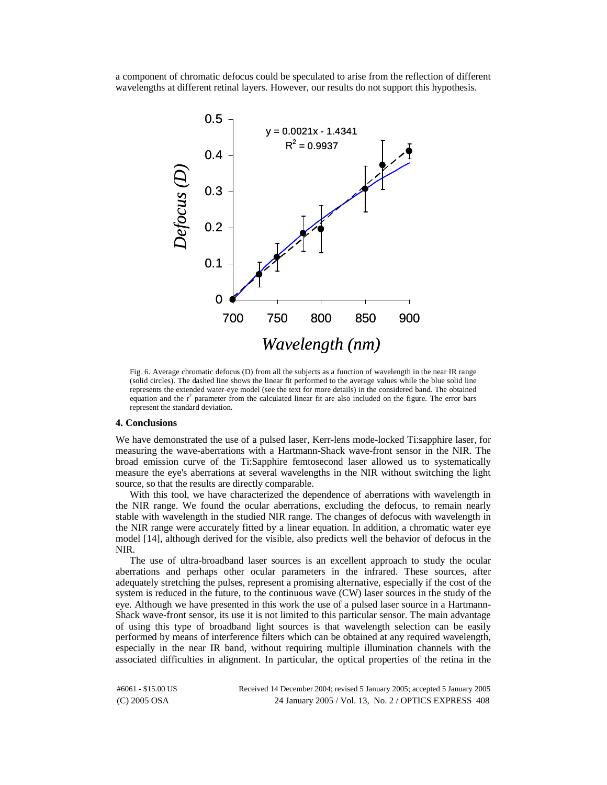a component of chromatic defocus could be speculated to arise from the reflection of different wavelengths at different retinal layers. However, our results do not support this hypothesis.



Fig. 6. Average chromatic defocus (D) from all the subjects as a function of wavelength in the near IR range (solid circles). The dashed line shows the linear fit performed to the average values while the blue solid line represents the extended water-eye model (see the text for more details) in the considered band. The obtained equation and the  $r<sup>2</sup>$  parameter from the calculated linear fit are also included on the figure. The error bars represent the standard deviation.

## **4. Conclusions**

We have demonstrated the use of a pulsed laser, Kerr-lens mode-locked Ti:sapphire laser, for measuring the wave-aberrations with a Hartmann-Shack wave-front sensor in the NIR. The broad emission curve of the Ti:Sapphire femtosecond laser allowed us to systematically measure the eye's aberrations at several wavelengths in the NIR without switching the light source, so that the results are directly comparable.

With this tool, we have characterized the dependence of aberrations with wavelength in the NIR range. We found the ocular aberrations, excluding the defocus, to remain nearly stable with wavelength in the studied NIR range. The changes of defocus with wavelength in the NIR range were accurately fitted by a linear equation. In addition, a chromatic water eye model [14], although derived for the visible, also predicts well the behavior of defocus in the NIR.

The use of ultra-broadband laser sources is an excellent approach to study the ocular aberrations and perhaps other ocular parameters in the infrared. These sources, after adequately stretching the pulses, represent a promising alternative, especially if the cost of the system is reduced in the future, to the continuous wave (CW) laser sources in the study of the eye. Although we have presented in this work the use of a pulsed laser source in a Hartmann-Shack wave-front sensor, its use it is not limited to this particular sensor. The main advantage of using this type of broadband light sources is that wavelength selection can be easily performed by means of interference filters which can be obtained at any required wavelength, especially in the near IR band, without requiring multiple illumination channels with the associated difficulties in alignment. In particular, the optical properties of the retina in the

(C) 2005 OSA 24 January 2005 / Vol. 13, No. 2 / OPTICS EXPRESS 408 #6061 - \$15.00 US Received 14 December 2004; revised 5 January 2005; accepted 5 January 2005